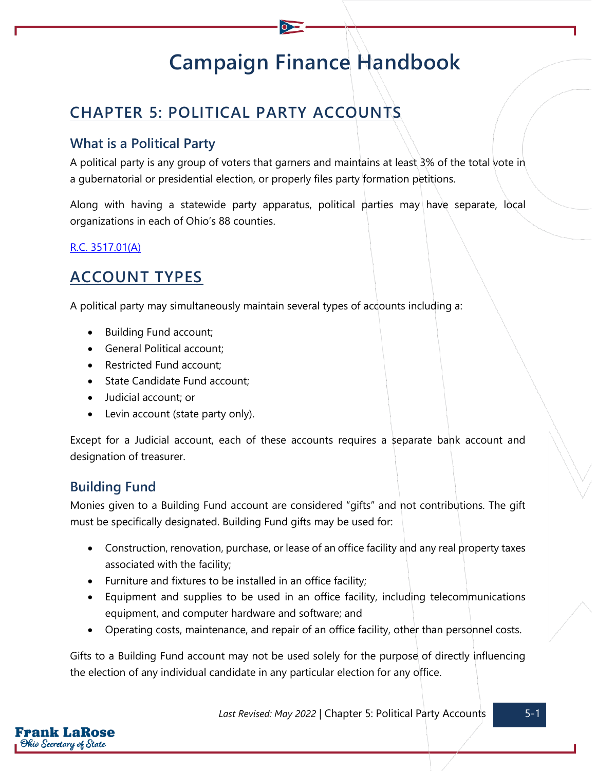# **Campaign Finance Handbook**

## **CHAPTER 5: POLITICAL PARTY ACCOUNTS**

## **What is a Political Party**

A political party is any group of voters that garners and maintains at least 3% of the total vote in a gubernatorial or presidential election, or properly files party formation petitions.

Along with having a statewide party apparatus, political parties may have separate, local organizations in each of Ohio's 88 counties.

### [R.C. 3517.01\(A\)](https://codes.ohio.gov/ohio-revised-code/section-3517.01)

## **ACCOUNT TYPES**

A political party may simultaneously maintain several types of accounts including a:

- Building Fund account;
- General Political account;
- Restricted Fund account;
- State Candidate Fund account;
- Judicial account; or
- Levin account (state party only).

Except for a Judicial account, each of these accounts requires a separate bank account and designation of treasurer.

## **Building Fund**

Monies given to a Building Fund account are considered "gifts" and not contributions. The gift must be specifically designated. Building Fund gifts may be used for:

- Construction, renovation, purchase, or lease of an office facility and any real property taxes associated with the facility;
- Furniture and fixtures to be installed in an office facility;
- Equipment and supplies to be used in an office facility, including telecommunications equipment, and computer hardware and software; and
- Operating costs, maintenance, and repair of an office facility, other than personnel costs.

Gifts to a Building Fund account may not be used solely for the purpose of directly influencing the election of any individual candidate in any particular election for any office.

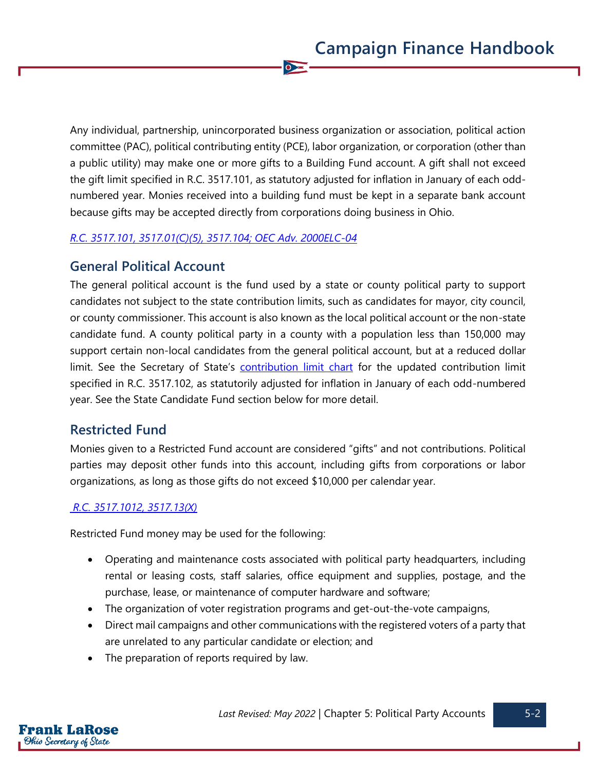Any individual, partnership, unincorporated business organization or association, political action committee (PAC), political contributing entity (PCE), labor organization, or corporation (other than a public utility) may make one or more gifts to a Building Fund account. A gift shall not exceed the gift limit specified in R.C. 3517.101, as statutory adjusted for inflation in January of each oddnumbered year. Monies received into a building fund must be kept in a separate bank account because gifts may be accepted directly from corporations doing business in Ohio.

 $\overline{\bullet}$ 

#### *[R.C. 3517.101,](https://codes.ohio.gov/ohio-revised-code/section-3517.101) [3517.01\(C\)\(5\),](https://codes.ohio.gov/ohio-revised-code/section-3517.01) [3517.104;](https://codes.ohio.gov/ohio-revised-code/section-3517.104) [OEC Adv. 2000ELC-04](https://elc.ohio.gov/wps/portal/gov/elc/opinions-decisions/advisory-opinions/by-year/2000-04)*

## **General Political Account**

The general political account is the fund used by a state or county political party to support candidates not subject to the state contribution limits, such as candidates for mayor, city council, or county commissioner. This account is also known as the local political account or the non-state candidate fund. A county political party in a county with a population less than 150,000 may support certain non-local candidates from the general political account, but at a reduced dollar limit. See the Secretary of State's [contribution limit chart](https://www.ohiosos.gov/campaign-finance/contribution-limits/) for the updated contribution limit specified in R.C. 3517.102, as statutorily adjusted for inflation in January of each odd-numbered year. See the State Candidate Fund section below for more detail.

## **Restricted Fund**

Monies given to a Restricted Fund account are considered "gifts" and not contributions. Political parties may deposit other funds into this account, including gifts from corporations or labor organizations, as long as those gifts do not exceed \$10,000 per calendar year.

#### *[R.C. 3517.1012,](https://codes.ohio.gov/ohio-revised-code/section-3517.1012) [3517.13\(X\)](https://codes.ohio.gov/ohio-revised-code/section-3517.13)*

Restricted Fund money may be used for the following:

- Operating and maintenance costs associated with political party headquarters, including rental or leasing costs, staff salaries, office equipment and supplies, postage, and the purchase, lease, or maintenance of computer hardware and software;
- The organization of voter registration programs and get-out-the-vote campaigns,
- Direct mail campaigns and other communications with the registered voters of a party that are unrelated to any particular candidate or election; and
- The preparation of reports required by law.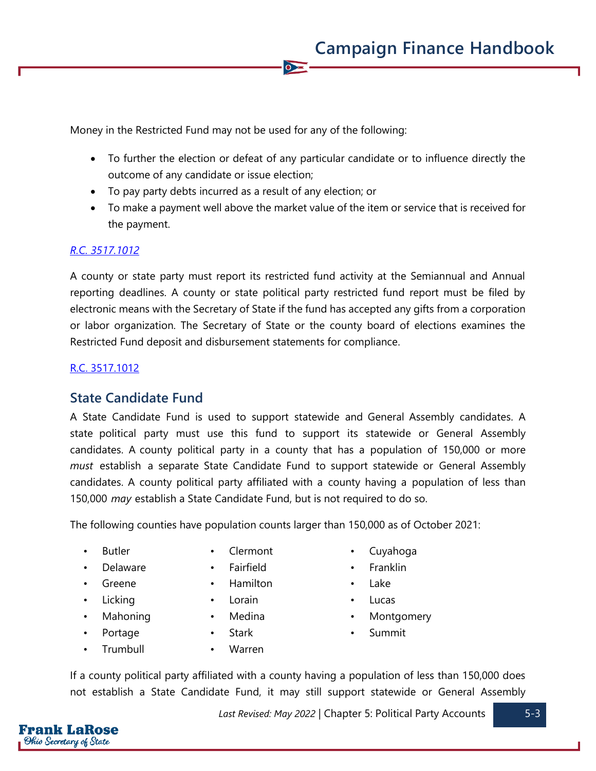Money in the Restricted Fund may not be used for any of the following:

• To further the election or defeat of any particular candidate or to influence directly the outcome of any candidate or issue election;

 $\bullet$ 

- To pay party debts incurred as a result of any election; or
- To make a payment well above the market value of the item or service that is received for the payment.

#### *[R.C. 3517.1012](https://codes.ohio.gov/ohio-revised-code/section-3517.1012)*

A county or state party must report its restricted fund activity at the Semiannual and Annual reporting deadlines. A county or state political party restricted fund report must be filed by electronic means with the Secretary of State if the fund has accepted any gifts from a corporation or labor organization. The Secretary of State or the county board of elections examines the Restricted Fund deposit and disbursement statements for compliance.

### [R.C. 3517.1012](https://codes.ohio.gov/ohio-revised-code/section-3517.1012)

## **State Candidate Fund**

A State Candidate Fund is used to support statewide and General Assembly candidates. A state political party must use this fund to support its statewide or General Assembly candidates. A county political party in a county that has a population of 150,000 or more *must* establish a separate State Candidate Fund to support statewide or General Assembly candidates. A county political party affiliated with a county having a population of less than 150,000 *may* establish a State Candidate Fund, but is not required to do so.

The following counties have population counts larger than 150,000 as of October 2021:

- 
- 
- 
- 
- 
- 
- 
- Delaware Fairfield Franklin
- Greene Hamilton Lake
- Licking Lorain Lucas
	-
	-
	- Trumbull Warren
- Butler Clermont Cuyahoga
	-
	-
	-
- Mahoning Medina Montgomery
- Portage Stark Summit

If a county political party affiliated with a county having a population of less than 150,000 does not establish a State Candidate Fund, it may still support statewide or General Assembly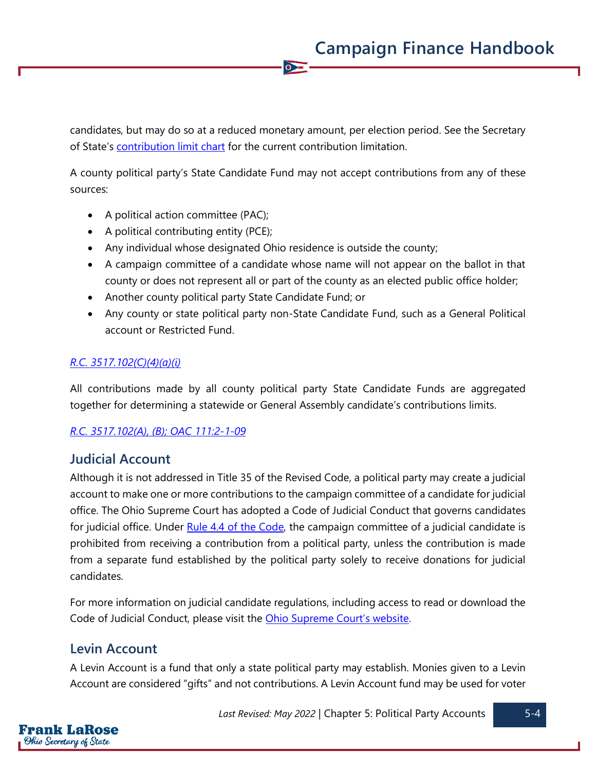candidates, but may do so at a reduced monetary amount, per election period. See the Secretary of State's [contribution limit chart](https://www.ohiosos.gov/globalassets/candidates/limitchart2021.pdf) for the current contribution limitation.

 $\overline{\bullet}$ 

A county political party's State Candidate Fund may not accept contributions from any of these sources:

- A political action committee (PAC);
- A political contributing entity (PCE);
- Any individual whose designated Ohio residence is outside the county;
- A campaign committee of a candidate whose name will not appear on the ballot in that county or does not represent all or part of the county as an elected public office holder;
- Another county political party State Candidate Fund; or
- Any county or state political party non-State Candidate Fund, such as a General Political account or Restricted Fund.

### *[R.C. 3517.102\(C\)\(4\)\(a\)\(i\)](https://codes.ohio.gov/ohio-revised-code/section-3517.102)*

All contributions made by all county political party State Candidate Funds are aggregated together for determining a statewide or General Assembly candidate's contributions limits.

#### *[R.C. 3517.102\(A\),](https://codes.ohio.gov/ohio-revised-code/section-3517.102) (B); [OAC 111:2-1-09](https://codes.ohio.gov/ohio-administrative-code/rule-111:2-1-09)*

## **Judicial Account**

Although it is not addressed in Title 35 of the Revised Code, a political party may create a judicial account to make one or more contributions to the campaign committee of a candidate for judicial office. The Ohio Supreme Court has adopted a Code of Judicial Conduct that governs candidates for judicial office. Under [Rule 4.4 of the Code,](https://www.supremecourt.ohio.gov/LegalResources/Rules/conduct/judcond0309.pdf#page=70) the campaign committee of a judicial candidate is prohibited from receiving a contribution from a political party, unless the contribution is made from a separate fund established by the political party solely to receive donations for judicial candidates.

For more information on judicial candidate regulations, including access to read or download the Code of Judicial Conduct, please visit the [Ohio Supreme Court's website](https://www.bpc.ohio.gov/judicial-candidates).

## **Levin Account**

A Levin Account is a fund that only a state political party may establish. Monies given to a Levin Account are considered "gifts" and not contributions. A Levin Account fund may be used for voter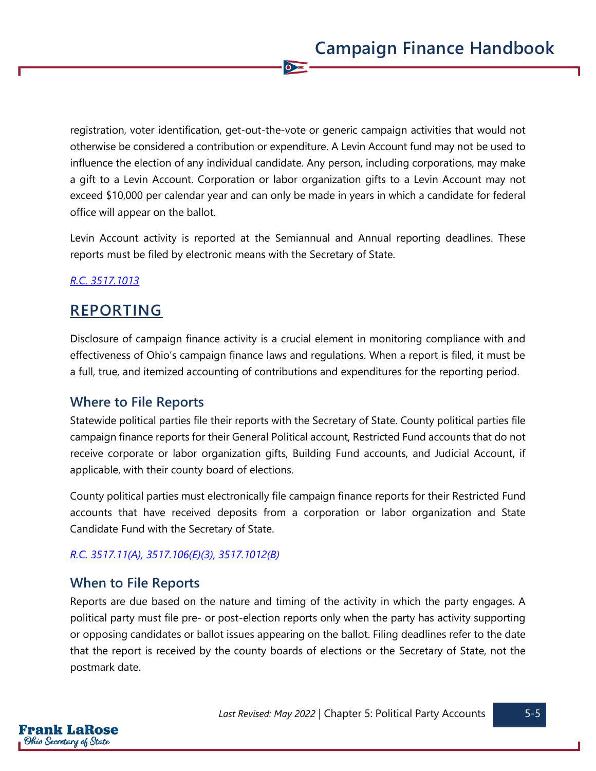registration, voter identification, get-out-the-vote or generic campaign activities that would not otherwise be considered a contribution or expenditure. A Levin Account fund may not be used to influence the election of any individual candidate. Any person, including corporations, may make a gift to a Levin Account. Corporation or labor organization gifts to a Levin Account may not exceed \$10,000 per calendar year and can only be made in years in which a candidate for federal office will appear on the ballot.

 $\overline{\bullet}$ 

Levin Account activity is reported at the Semiannual and Annual reporting deadlines. These reports must be filed by electronic means with the Secretary of State.

## *[R.C. 3517.1013](https://codes.ohio.gov/ohio-revised-code/section-3517.1013)*

## **REPORTING**

Disclosure of campaign finance activity is a crucial element in monitoring compliance with and effectiveness of Ohio's campaign finance laws and regulations. When a report is filed, it must be a full, true, and itemized accounting of contributions and expenditures for the reporting period.

## **Where to File Reports**

Statewide political parties file their reports with the Secretary of State. County political parties file campaign finance reports for their General Political account, Restricted Fund accounts that do not receive corporate or labor organization gifts, Building Fund accounts, and Judicial Account, if applicable, with their county board of elections.

County political parties must electronically file campaign finance reports for their Restricted Fund accounts that have received deposits from a corporation or labor organization and State Candidate Fund with the Secretary of State.

#### *[R.C. 3517.11\(A\),](https://codes.ohio.gov/ohio-revised-code/section-3517.11) [3517.106\(E\)\(3\),](https://codes.ohio.gov/ohio-revised-code/section-3517.106) [3517.1012\(B\)](https://codes.ohio.gov/ohio-revised-code/section-3517.1012)*

## **When to File Reports**

Reports are due based on the nature and timing of the activity in which the party engages. A political party must file pre- or post-election reports only when the party has activity supporting or opposing candidates or ballot issues appearing on the ballot. Filing deadlines refer to the date that the report is received by the county boards of elections or the Secretary of State, not the postmark date.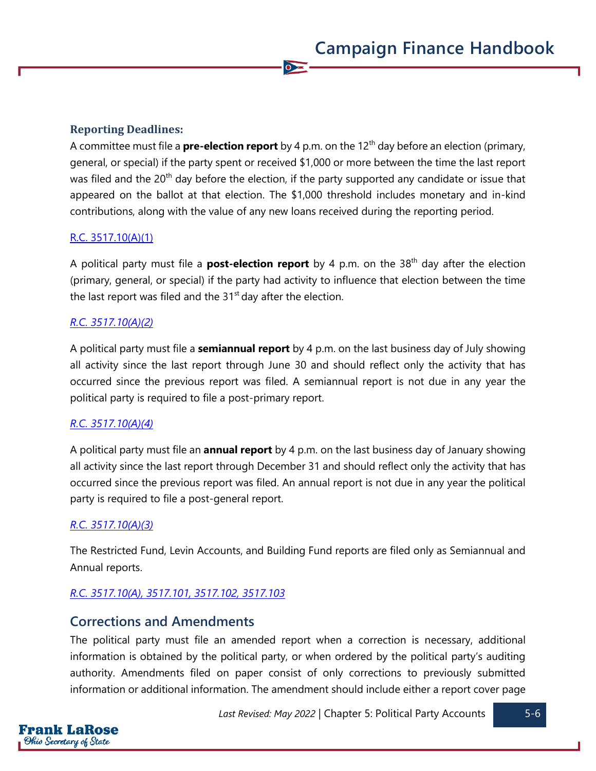#### **Reporting Deadlines:**

A committee must file a **pre-election report** by 4 p.m. on the 12<sup>th</sup> day before an election (primary, general, or special) if the party spent or received \$1,000 or more between the time the last report was filed and the 20<sup>th</sup> day before the election, if the party supported any candidate or issue that appeared on the ballot at that election. The \$1,000 threshold includes monetary and in-kind contributions, along with the value of any new loans received during the reporting period.

 $\overline{\bullet}$ 

#### [R.C. 3517.10\(A\)\(1\)](https://codes.ohio.gov/ohio-revised-code/section-3517.10)

A political party must file a **post-election report** by 4 p.m. on the 38th day after the election (primary, general, or special) if the party had activity to influence that election between the time the last report was filed and the  $31<sup>st</sup>$  day after the election.

#### *[R.C. 3517.10\(A\)\(2\)](https://codes.ohio.gov/ohio-revised-code/section-3517.10)*

A political party must file a **semiannual report** by 4 p.m. on the last business day of July showing all activity since the last report through June 30 and should reflect only the activity that has occurred since the previous report was filed. A semiannual report is not due in any year the political party is required to file a post-primary report.

#### *[R.C. 3517.10\(A\)\(4\)](https://codes.ohio.gov/ohio-revised-code/section-3517.10)*

A political party must file an **annual report** by 4 p.m. on the last business day of January showing all activity since the last report through December 31 and should reflect only the activity that has occurred since the previous report was filed. An annual report is not due in any year the political party is required to file a post-general report.

#### *[R.C. 3517.10\(A\)\(3\)](https://codes.ohio.gov/ohio-revised-code/section-3517.10)*

The Restricted Fund, Levin Accounts, and Building Fund reports are filed only as Semiannual and Annual reports.

#### *[R.C. 3517.10\(A\),](https://codes.ohio.gov/ohio-revised-code/section-3517.10) [3517.101,](https://codes.ohio.gov/ohio-revised-code/section-3517.101) [3517.102,](https://codes.ohio.gov/ohio-revised-code/section-3517.102) [3517.103](https://codes.ohio.gov/ohio-revised-code/section-3517.103)*

#### **Corrections and Amendments**

The political party must file an amended report when a correction is necessary, additional information is obtained by the political party, or when ordered by the political party's auditing authority. Amendments filed on paper consist of only corrections to previously submitted information or additional information. The amendment should include either a report cover page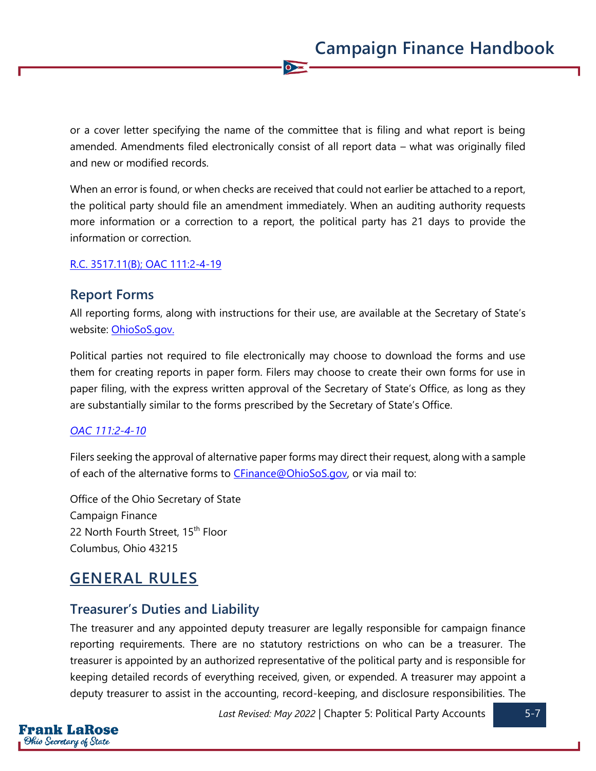or a cover letter specifying the name of the committee that is filing and what report is being amended. Amendments filed electronically consist of all report data – what was originally filed and new or modified records.

 $\overline{\bullet}$ 

When an error is found, or when checks are received that could not earlier be attached to a report, the political party should file an amendment immediately. When an auditing authority requests more information or a correction to a report, the political party has 21 days to provide the information or correction.

#### [R.C. 3517.11\(B\);](https://codes.ohio.gov/ohio-revised-code/section-3517.11) [OAC 111:2-4-19](https://codes.ohio.gov/ohio-administrative-code/rule-111:2-4-19)

## **Report Forms**

All reporting forms, along with instructions for their use, are available at the Secretary of State's website: [OhioSoS.gov.](https://www.ohiosos.gov/campaign-finance/filing-forms/)

Political parties not required to file electronically may choose to download the forms and use them for creating reports in paper form. Filers may choose to create their own forms for use in paper filing, with the express written approval of the Secretary of State's Office, as long as they are substantially similar to the forms prescribed by the Secretary of State's Office.

#### *OAC [111:2-4-10](https://codes.ohio.gov/ohio-administrative-code/rule-111:2-4-10)*

Filers seeking the approval of alternative paper forms may direct their request, along with a sample of each of the alternative forms to [CFinance@OhioSoS.gov,](mailto:CFinance@OhioSoS.gov) or via mail to:

Office of the Ohio Secretary of State Campaign Finance 22 North Fourth Street, 15<sup>th</sup> Floor Columbus, Ohio 43215

## **GENERAL RULES**

## **Treasurer's Duties and Liability**

The treasurer and any appointed deputy treasurer are legally responsible for campaign finance reporting requirements. There are no statutory restrictions on who can be a treasurer. The treasurer is appointed by an authorized representative of the political party and is responsible for keeping detailed records of everything received, given, or expended. A treasurer may appoint a deputy treasurer to assist in the accounting, record-keeping, and disclosure responsibilities. The



Last Revised: May 2022 | Chapter 5: Political Party Accounts 5-7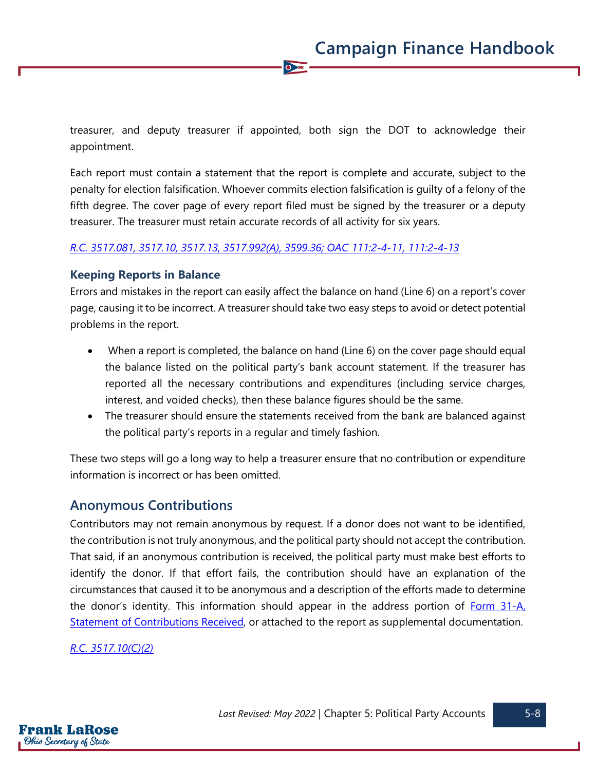treasurer, and deputy treasurer if appointed, both sign the DOT to acknowledge their appointment.

 $\bullet$ 

Each report must contain a statement that the report is complete and accurate, subject to the penalty for election falsification. Whoever commits election falsification is guilty of a felony of the fifth degree. The cover page of every report filed must be signed by the treasurer or a deputy treasurer. The treasurer must retain accurate records of all activity for six years.

#### *[R.C. 3517.081,](https://codes.ohio.gov/ohio-revised-code/section-3517.081) [3517.10,](https://codes.ohio.gov/ohio-revised-code/section-3517.10) [3517.13,](https://codes.ohio.gov/ohio-revised-code/section-3517.13) [3517.992\(A\),](https://codes.ohio.gov/ohio-revised-code/section-3517.992) [3599.36;](https://codes.ohio.gov/ohio-revised-code/section-3599.36) [OAC 111:2-4-11,](https://codes.ohio.gov/ohio-administrative-code/rule-111:2-4-11) [111:2-4-13](https://codes.ohio.gov/ohio-administrative-code/rule-111:2-4-13)*

#### **Keeping Reports in Balance**

Errors and mistakes in the report can easily affect the balance on hand (Line 6) on a report's cover page, causing it to be incorrect. A treasurer should take two easy steps to avoid or detect potential problems in the report.

- When a report is completed, the balance on hand (Line 6) on the cover page should equal the balance listed on the political party's bank account statement. If the treasurer has reported all the necessary contributions and expenditures (including service charges, interest, and voided checks), then these balance figures should be the same.
- The treasurer should ensure the statements received from the bank are balanced against the political party's reports in a regular and timely fashion.

These two steps will go a long way to help a treasurer ensure that no contribution or expenditure information is incorrect or has been omitted.

## **Anonymous Contributions**

Contributors may not remain anonymous by request. If a donor does not want to be identified, the contribution is not truly anonymous, and the political party should not accept the contribution. That said, if an anonymous contribution is received, the political party must make best efforts to identify the donor. If that effort fails, the contribution should have an explanation of the circumstances that caused it to be anonymous and a description of the efforts made to determine the donor's identity. This information should appear in the address portion of [Form 31-A,](https://www.ohiosos.gov/globalassets/candidates/forms/31a.pdf)  [Statement of Contributions Received,](https://www.ohiosos.gov/globalassets/candidates/forms/31a.pdf) or attached to the report as supplemental documentation.

#### *[R.C. 3517.10\(C\)\(2\)](https://codes.ohio.gov/ohio-revised-code/section-3517.10)*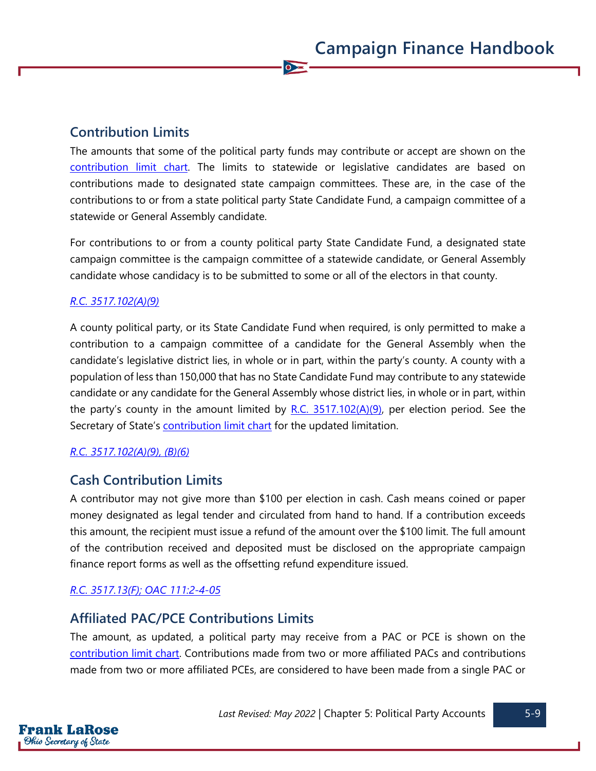## **Contribution Limits**

The amounts that some of the political party funds may contribute or accept are shown on the [contribution limit chart.](https://www.ohiosos.gov/globalassets/candidates/limitchart2021.pdf) The limits to statewide or legislative candidates are based on contributions made to designated state campaign committees. These are, in the case of the contributions to or from a state political party State Candidate Fund, a campaign committee of a statewide or General Assembly candidate.

 $\bullet$ 

For contributions to or from a county political party State Candidate Fund, a designated state campaign committee is the campaign committee of a statewide candidate, or General Assembly candidate whose candidacy is to be submitted to some or all of the electors in that county.

#### *[R.C. 3517.102\(A\)\(9\)](https://codes.ohio.gov/ohio-revised-code/section-3517.102)*

A county political party, or its State Candidate Fund when required, is only permitted to make a contribution to a campaign committee of a candidate for the General Assembly when the candidate's legislative district lies, in whole or in part, within the party's county. A county with a population of less than 150,000 that has no State Candidate Fund may contribute to any statewide candidate or any candidate for the General Assembly whose district lies, in whole or in part, within the party's county in the amount limited by  $R.C. 3517.102(A)(9)$ , per election period. See the Secretary of State's [contribution limit chart](https://www.ohiosos.gov/campaign-finance/contribution-limits/) for the updated limitation.

#### *[R.C. 3517.102\(A\)\(9\),](https://codes.ohio.gov/ohio-revised-code/section-3517.102) (B)(6)*

## **Cash Contribution Limits**

A contributor may not give more than \$100 per election in cash. Cash means coined or paper money designated as legal tender and circulated from hand to hand. If a contribution exceeds this amount, the recipient must issue a refund of the amount over the \$100 limit. The full amount of the contribution received and deposited must be disclosed on the appropriate campaign finance report forms as well as the offsetting refund expenditure issued.

#### *[R.C. 3517.13\(F\);](https://codes.ohio.gov/ohio-revised-code/section-3517.13) [OAC 111:2-4-05](https://codes.ohio.gov/ohio-administrative-code/rule-111:2-4-05)*

## **Affiliated PAC/PCE Contributions Limits**

The amount, as updated, a political party may receive from a PAC or PCE is shown on the [contribution limit chart.](https://www.ohiosos.gov/campaign-finance/contribution-limits/) Contributions made from two or more affiliated PACs and contributions made from two or more affiliated PCEs, are considered to have been made from a single PAC or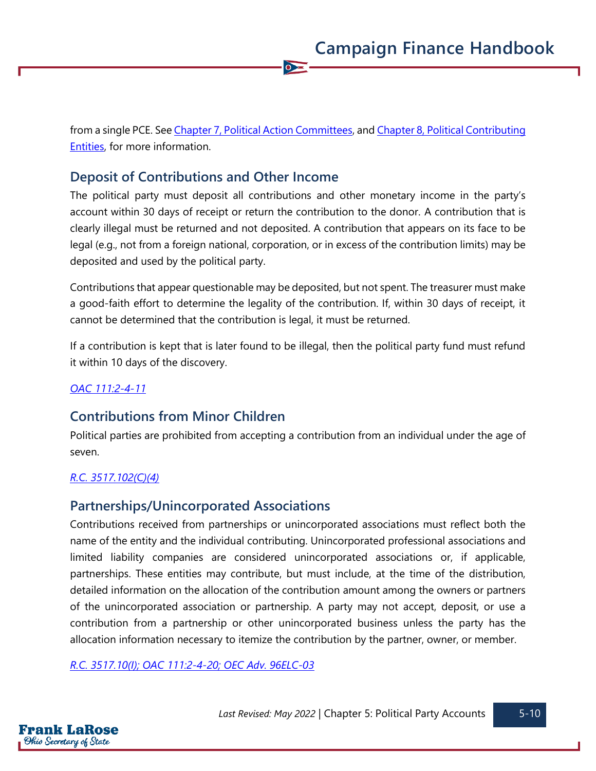from a single PCE. See [Chapter 7, Political Action Committees,](https://www.ohiosos.gov/globalassets/candidates/cfguide/chapters/chapter7.pdf) and Chapter 8, Political Contributing [Entities,](https://www.ohiosos.gov/globalassets/candidates/cfguide/chapters/chapter8.pdf) for more information.

 $\bullet$ 

## **Deposit of Contributions and Other Income**

The political party must deposit all contributions and other monetary income in the party's account within 30 days of receipt or return the contribution to the donor. A contribution that is clearly illegal must be returned and not deposited. A contribution that appears on its face to be legal (e.g., not from a foreign national, corporation, or in excess of the contribution limits) may be deposited and used by the political party.

Contributions that appear questionable may be deposited, but not spent. The treasurer must make a good-faith effort to determine the legality of the contribution. If, within 30 days of receipt, it cannot be determined that the contribution is legal, it must be returned.

If a contribution is kept that is later found to be illegal, then the political party fund must refund it within 10 days of the discovery.

#### *[OAC 111:2-4-11](https://codes.ohio.gov/ohio-administrative-code/rule-111:2-4-11)*

## **Contributions from Minor Children**

Political parties are prohibited from accepting a contribution from an individual under the age of seven.

#### *[R.C. 3517.102\(C\)\(4\)](https://codes.ohio.gov/ohio-revised-code/section-3517.102)*

## **Partnerships/Unincorporated Associations**

Contributions received from partnerships or unincorporated associations must reflect both the name of the entity and the individual contributing. Unincorporated professional associations and limited liability companies are considered unincorporated associations or, if applicable, partnerships. These entities may contribute, but must include, at the time of the distribution, detailed information on the allocation of the contribution amount among the owners or partners of the unincorporated association or partnership. A party may not accept, deposit, or use a contribution from a partnership or other unincorporated business unless the party has the allocation information necessary to itemize the contribution by the partner, owner, or member.

*[R.C. 3517.10\(I\);](https://codes.ohio.gov/ohio-revised-code/section-3517.10) [OAC 111:2-4-20;](https://codes.ohio.gov/ohio-administrative-code/rule-111:2-4-20) [OEC Adv. 96ELC-03](https://elc.ohio.gov/wps/portal/gov/elc/opinions-decisions/advisory-opinions/by-year/96-03)*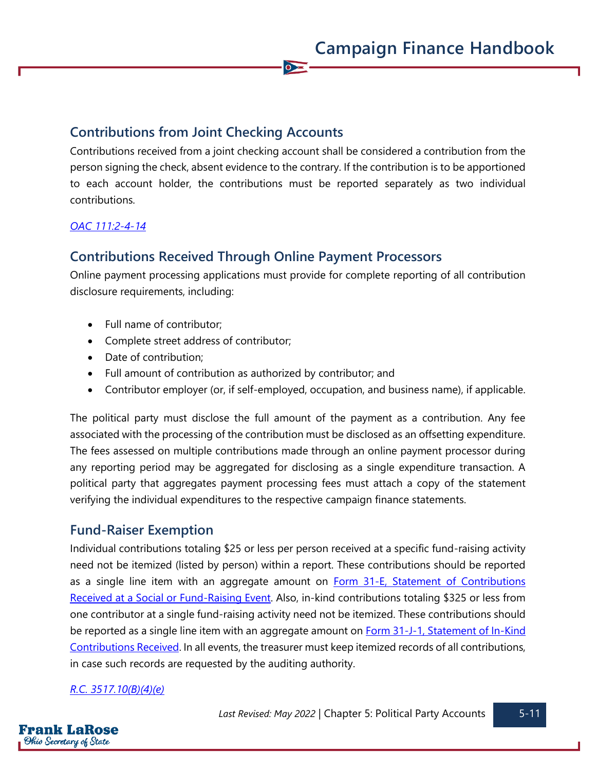## **Contributions from Joint Checking Accounts**

Contributions received from a joint checking account shall be considered a contribution from the person signing the check, absent evidence to the contrary. If the contribution is to be apportioned to each account holder, the contributions must be reported separately as two individual contributions.

 $\bullet$ 

#### *[OAC 111:2-4-14](https://codes.ohio.gov/ohio-administrative-code/rule-111:2-4-14)*

## **Contributions Received Through Online Payment Processors**

Online payment processing applications must provide for complete reporting of all contribution disclosure requirements, including:

- Full name of contributor;
- Complete street address of contributor;
- Date of contribution;
- Full amount of contribution as authorized by contributor; and
- Contributor employer (or, if self-employed, occupation, and business name), if applicable.

The political party must disclose the full amount of the payment as a contribution. Any fee associated with the processing of the contribution must be disclosed as an offsetting expenditure. The fees assessed on multiple contributions made through an online payment processor during any reporting period may be aggregated for disclosing as a single expenditure transaction. A political party that aggregates payment processing fees must attach a copy of the statement verifying the individual expenditures to the respective campaign finance statements.

## **Fund-Raiser Exemption**

Individual contributions totaling \$25 or less per person received at a specific fund-raising activity need not be itemized (listed by person) within a report. These contributions should be reported as a single line item with an aggregate amount on **Form 31-E**, Statement of Contributions [Received at a Social or](https://www.ohiosos.gov/globalassets/candidates/forms/31e.pdf) Fund-Raising Event. Also, in-kind contributions totaling \$325 or less from one contributor at a single fund-raising activity need not be itemized. These contributions should be reported as a single line item with an aggregate amount on **Form 31-J-1**, Statement of In-Kind [Contributions Received.](https://www.ohiosos.gov/globalassets/candidates/forms/31j1.pdf) In all events, the treasurer must keep itemized records of all contributions, in case such records are requested by the auditing authority.

#### *[R.C. 3517.10\(B\)\(4\)\(e\)](https://codes.ohio.gov/ohio-revised-code/section-3517.10)*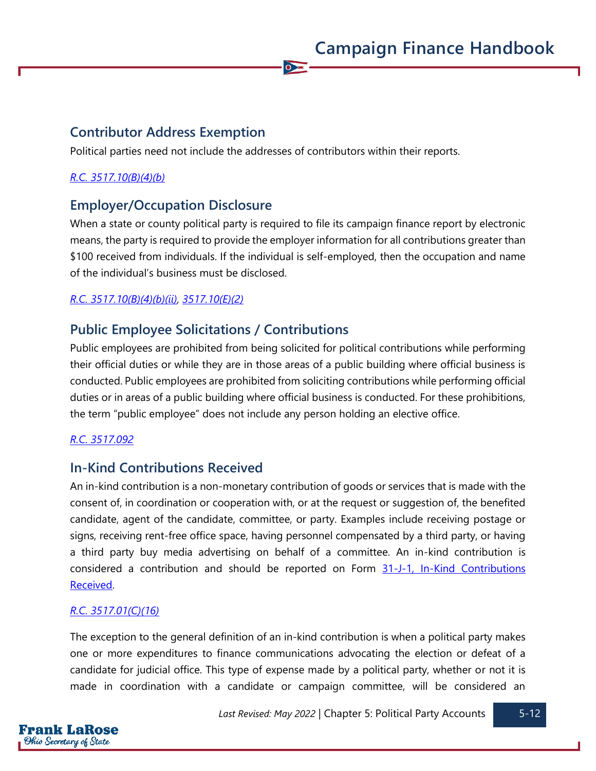## **Contributor Address Exemption**

Political parties need not include the addresses of contributors within their reports.

#### *[R.C. 3517.10\(B\)\(4\)\(b\)](https://codes.ohio.gov/ohio-revised-code/section-3517.10)*

## **Employer/Occupation Disclosure**

When a state or county political party is required to file its campaign finance report by electronic means, the party is required to provide the employer information for all contributions greater than \$100 received from individuals. If the individual is self-employed, then the occupation and name of the individual's business must be disclosed.

 $\overline{\bullet}$ 

### *[R.C. 3517.10\(B\)\(4\)\(b\)\(ii\), 3517.10\(E\)\(2\)](https://codes.ohio.gov/ohio-revised-code/section-3517.10)*

## **Public Employee Solicitations / Contributions**

Public employees are prohibited from being solicited for political contributions while performing their official duties or while they are in those areas of a public building where official business is conducted. Public employees are prohibited from soliciting contributions while performing official duties or in areas of a public building where official business is conducted. For these prohibitions, the term "public employee" does not include any person holding an elective office.

#### *[R.C. 3517.092](https://codes.ohio.gov/ohio-revised-code/section-3517.092)*

## **In-Kind Contributions Received**

An in-kind contribution is a non-monetary contribution of goods or services that is made with the consent of, in coordination or cooperation with, or at the request or suggestion of, the benefited candidate, agent of the candidate, committee, or party. Examples include receiving postage or signs, receiving rent-free office space, having personnel compensated by a third party, or having a third party buy media advertising on behalf of a committee. An in-kind contribution is considered a contribution and should be reported on Form 31-J-1, In-Kind Contributions [Received.](https://www.ohiosos.gov/globalassets/candidates/forms/31j1.pdf)

#### *[R.C. 3517.01\(C\)\(16\)](https://codes.ohio.gov/ohio-revised-code/section-3517.01)*

The exception to the general definition of an in-kind contribution is when a political party makes one or more expenditures to finance communications advocating the election or defeat of a candidate for judicial office. This type of expense made by a political party, whether or not it is made in coordination with a candidate or campaign committee, will be considered an

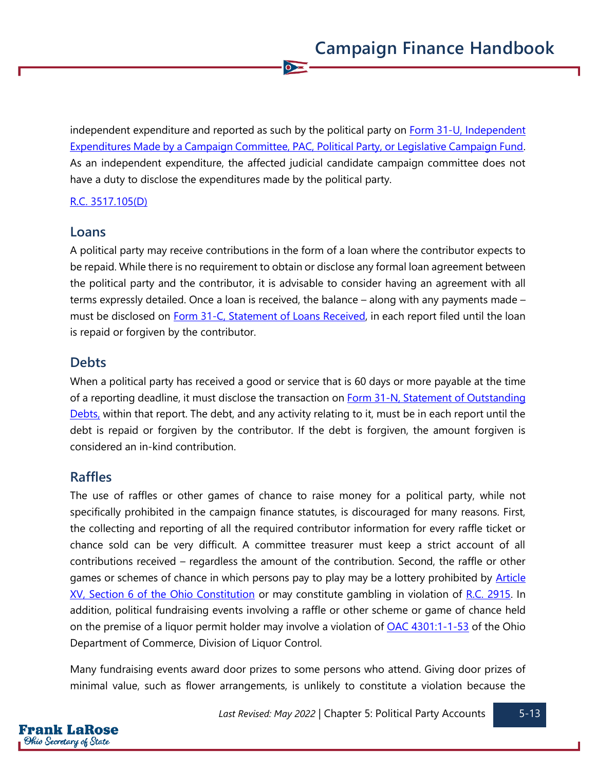independent expenditure and reported as such by the political party on Form 31-U, Independent [Expenditures Made by a Campaign Committee, PAC, Political Party, or Legislative Campaign Fund.](https://www.ohiosos.gov/globalassets/candidates/forms/31u.pdf) As an independent expenditure, the affected judicial candidate campaign committee does not have a duty to disclose the expenditures made by the political party.

 $\overline{\bullet}$ 

#### [R.C. 3517.105\(D\)](https://codes.ohio.gov/ohio-revised-code/section-3517.105)

#### **Loans**

A political party may receive contributions in the form of a loan where the contributor expects to be repaid. While there is no requirement to obtain or disclose any formal loan agreement between the political party and the contributor, it is advisable to consider having an agreement with all terms expressly detailed. Once a loan is received, the balance – along with any payments made – must be disclosed on [Form 31-C, Statement of](https://www.ohiosos.gov/globalassets/candidates/forms/31c.pdf) Loans Received, in each report filed until the loan is repaid or forgiven by the contributor.

## **Debts**

When a political party has received a good or service that is 60 days or more payable at the time of a reporting deadline, it must disclose the transaction on [Form 31-N, Statement of Outstanding](https://www.ohiosos.gov/globalassets/candidates/forms/31n.pdf)  [Debts,](https://www.ohiosos.gov/globalassets/candidates/forms/31n.pdf) within that report. The debt, and any activity relating to it, must be in each report until the debt is repaid or forgiven by the contributor. If the debt is forgiven, the amount forgiven is considered an in-kind contribution.

## **Raffles**

The use of raffles or other games of chance to raise money for a political party, while not specifically prohibited in the campaign finance statutes, is discouraged for many reasons. First, the collecting and reporting of all the required contributor information for every raffle ticket or chance sold can be very difficult. A committee treasurer must keep a strict account of all contributions received – regardless the amount of the contribution. Second, the raffle or other games or schemes of chance in which persons pay to play may be a lottery prohibited by **Article** [XV, Section 6 of the Ohio Constitution](https://www.legislature.ohio.gov/laws/ohio-constitution/section?const=15.06) or may constitute gambling in violation of [R.C. 2915.](https://codes.ohio.gov/ohio-revised-code/chapter-2915) In addition, political fundraising events involving a raffle or other scheme or game of chance held on the premise of a liquor permit holder may involve a violation of [OAC 4301:1-1-53](https://codes.ohio.gov/ohio-administrative-code/rule-4301:1-1-53) of the Ohio Department of Commerce, Division of Liquor Control.

Many fundraising events award door prizes to some persons who attend. Giving door prizes of minimal value, such as flower arrangements, is unlikely to constitute a violation because the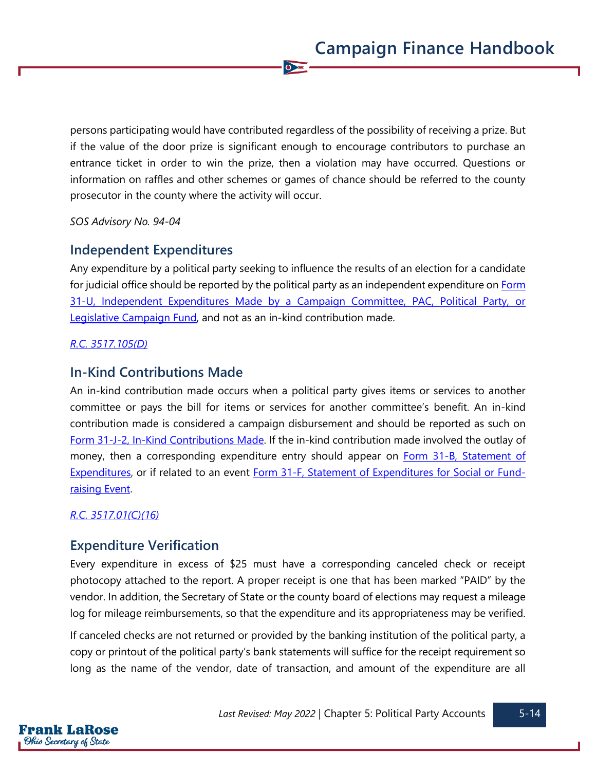persons participating would have contributed regardless of the possibility of receiving a prize. But if the value of the door prize is significant enough to encourage contributors to purchase an entrance ticket in order to win the prize, then a violation may have occurred. Questions or information on raffles and other schemes or games of chance should be referred to the county prosecutor in the county where the activity will occur.

 $\bullet$ 

*SOS Advisory No. 94-04*

## **Independent Expenditures**

Any expenditure by a political party seeking to influence the results of an election for a candidate for judicial office should be reported by the political party as an independent expenditure on [Form](https://www.ohiosos.gov/globalassets/candidates/forms/31u.pdf)  [31-U, Independent Expenditures Made by a Campaign Committee, PAC, Political Party, or](https://www.ohiosos.gov/globalassets/candidates/forms/31u.pdf) [Legislative Campaign Fund,](https://www.ohiosos.gov/globalassets/candidates/forms/31u.pdf) and not as an in-kind contribution made.

#### *[R.C. 3517.105\(D\)](https://codes.ohio.gov/ohio-revised-code/section-3517.105)*

## **In-Kind Contributions Made**

An in-kind contribution made occurs when a political party gives items or services to another committee or pays the bill for items or services for another committee's benefit. An in-kind contribution made is considered a campaign disbursement and should be reported as such on [Form 31-J-2, In-Kind Contributions Made.](https://www.ohiosos.gov/globalassets/candidates/forms/31j2.pdf) If the in-kind contribution made involved the outlay of money, then a corresponding expenditure entry should appear on Form 31-B, Statement of [Expenditures,](https://www.ohiosos.gov/globalassets/candidates/forms/31b.pdf) or if related to an event [Form 31-F, Statement of Expenditures for Social or Fund](https://www.ohiosos.gov/globalassets/candidates/forms/31f.pdf)[raising Event.](https://www.ohiosos.gov/globalassets/candidates/forms/31f.pdf)

#### *[R.C. 3517.01\(C\)\(16\)](https://codes.ohio.gov/ohio-revised-code/section-3517.01)*

## **Expenditure Verification**

Every expenditure in excess of \$25 must have a corresponding canceled check or receipt photocopy attached to the report. A proper receipt is one that has been marked "PAID" by the vendor. In addition, the Secretary of State or the county board of elections may request a mileage log for mileage reimbursements, so that the expenditure and its appropriateness may be verified.

If canceled checks are not returned or provided by the banking institution of the political party, a copy or printout of the political party's bank statements will suffice for the receipt requirement so long as the name of the vendor, date of transaction, and amount of the expenditure are all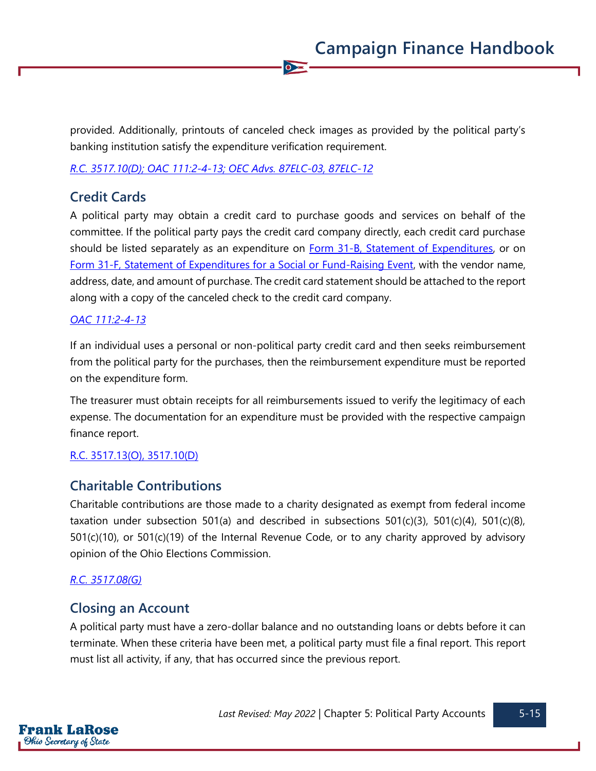provided. Additionally, printouts of canceled check images as provided by the political party's banking institution satisfy the expenditure verification requirement.

 $\bullet$ 

*[R.C. 3517.10\(D\);](https://codes.ohio.gov/ohio-revised-code/section-3517.10) [OAC 111:2-4-13;](https://codes.ohio.gov/ohio-administrative-code/rule-111:2-4-13) [OEC Advs. 87ELC-03,](https://elc.ohio.gov/wps/portal/gov/elc/opinions-decisions/advisory-opinions/by-year/87-3) [87ELC-12](https://elc.ohio.gov/wps/portal/gov/elc/opinions-decisions/advisory-opinions/by-year/87-12)*

## **Credit Cards**

A political party may obtain a credit card to purchase goods and services on behalf of the committee. If the political party pays the credit card company directly, each credit card purchase should be listed separately as an expenditure on **Form 31-B**, Statement of Expenditures, or on [Form 31-F, Statement of Expenditures for a Social or Fund-Raising Event,](https://www.ohiosos.gov/globalassets/candidates/forms/31f.pdf) with the vendor name, address, date, and amount of purchase. The credit card statement should be attached to the report along with a copy of the canceled check to the credit card company.

#### *[OAC 111:2-4-13](https://codes.ohio.gov/ohio-administrative-code/rule-111:2-4-13)*

If an individual uses a personal or non-political party credit card and then seeks reimbursement from the political party for the purchases, then the reimbursement expenditure must be reported on the expenditure form.

The treasurer must obtain receipts for all reimbursements issued to verify the legitimacy of each expense. The documentation for an expenditure must be provided with the respective campaign finance report.

#### [R.C. 3517.13\(O\),](https://codes.ohio.gov/ohio-revised-code/section-3517.13) [3517.10\(D\)](https://codes.ohio.gov/ohio-revised-code/section-3517.10)

## **Charitable Contributions**

Charitable contributions are those made to a charity designated as exempt from federal income taxation under subsection 501(a) and described in subsections 501(c)(3), 501(c)(4), 501(c)(8), 501(c)(10), or 501(c)(19) of the Internal Revenue Code, or to any charity approved by advisory opinion of the Ohio Elections Commission.

#### *[R.C. 3517.08\(G\)](https://codes.ohio.gov/ohio-revised-code/section-3517.08)*

## **Closing an Account**

A political party must have a zero-dollar balance and no outstanding loans or debts before it can terminate. When these criteria have been met, a political party must file a final report. This report must list all activity, if any, that has occurred since the previous report.